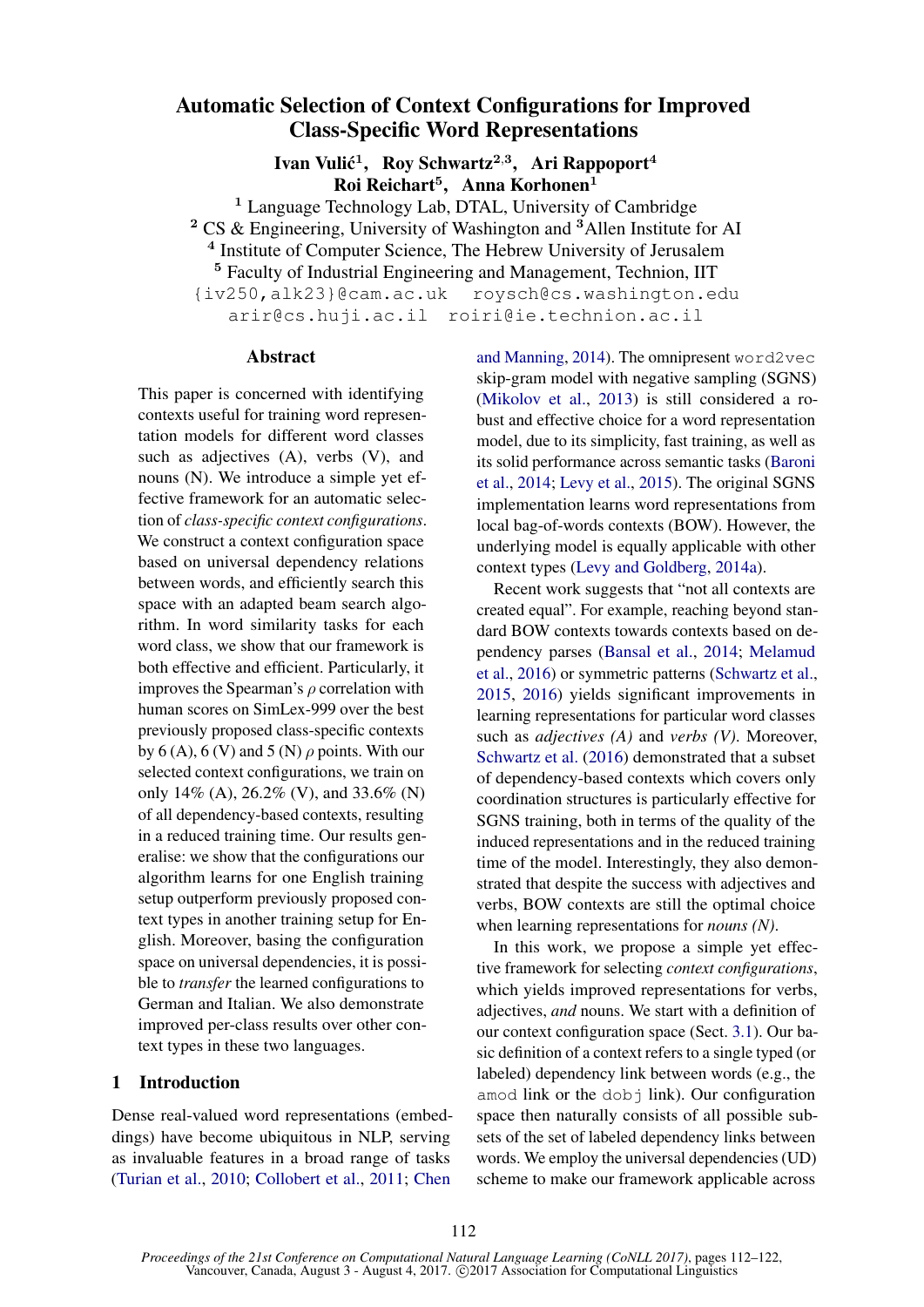# Automatic Selection of Context Configurations for Improved Class-Specific Word Representations

Ivan Vulić $^1$ , Roy Schwartz $^{2,3}$ , Ari Rappoport $^4$ Roi Reichart<sup>5</sup>, Anna Korhonen<sup>1</sup>

<sup>1</sup> Language Technology Lab, DTAL, University of Cambridge <sup>2</sup> CS & Engineering, University of Washington and <sup>3</sup>Allen Institute for AI <sup>4</sup> Institute of Computer Science, The Hebrew University of Jerusalem

<sup>5</sup> Faculty of Industrial Engineering and Management, Technion, IIT

{iv250,alk23}@cam.ac.uk roysch@cs.washington.edu arir@cs.huji.ac.il roiri@ie.technion.ac.il

#### Abstract

This paper is concerned with identifying contexts useful for training word representation models for different word classes such as adjectives (A), verbs (V), and nouns (N). We introduce a simple yet effective framework for an automatic selection of *class-specific context configurations*. We construct a context configuration space based on universal dependency relations between words, and efficiently search this space with an adapted beam search algorithm. In word similarity tasks for each word class, we show that our framework is both effective and efficient. Particularly, it improves the Spearman's  $\rho$  correlation with human scores on SimLex-999 over the best previously proposed class-specific contexts by 6 (A), 6 (V) and 5 (N)  $\rho$  points. With our selected context configurations, we train on only  $14\%$  (A),  $26.2\%$  (V), and  $33.6\%$  (N) of all dependency-based contexts, resulting in a reduced training time. Our results generalise: we show that the configurations our algorithm learns for one English training setup outperform previously proposed context types in another training setup for English. Moreover, basing the configuration space on universal dependencies, it is possible to *transfer* the learned configurations to German and Italian. We also demonstrate improved per-class results over other context types in these two languages.

# 1 Introduction

Dense real-valued word representations (embeddings) have become ubiquitous in NLP, serving as invaluable features in a broad range of tasks (Turian et al., 2010; Collobert et al., 2011; Chen and Manning, 2014). The omnipresent word2vec skip-gram model with negative sampling (SGNS) (Mikolov et al., 2013) is still considered a robust and effective choice for a word representation model, due to its simplicity, fast training, as well as its solid performance across semantic tasks (Baroni et al., 2014; Levy et al., 2015). The original SGNS implementation learns word representations from local bag-of-words contexts (BOW). However, the underlying model is equally applicable with other context types (Levy and Goldberg, 2014a).

Recent work suggests that "not all contexts are created equal". For example, reaching beyond standard BOW contexts towards contexts based on dependency parses (Bansal et al., 2014; Melamud et al., 2016) or symmetric patterns (Schwartz et al., 2015, 2016) yields significant improvements in learning representations for particular word classes such as *adjectives (A)* and *verbs (V)*. Moreover, Schwartz et al. (2016) demonstrated that a subset of dependency-based contexts which covers only coordination structures is particularly effective for SGNS training, both in terms of the quality of the induced representations and in the reduced training time of the model. Interestingly, they also demonstrated that despite the success with adjectives and verbs, BOW contexts are still the optimal choice when learning representations for *nouns (N)*.

In this work, we propose a simple yet effective framework for selecting *context configurations*, which yields improved representations for verbs, adjectives, *and* nouns. We start with a definition of our context configuration space (Sect. 3.1). Our basic definition of a context refers to a single typed (or labeled) dependency link between words (e.g., the amod link or the  $d$ obj link). Our configuration space then naturally consists of all possible subsets of the set of labeled dependency links between words. We employ the universal dependencies (UD) scheme to make our framework applicable across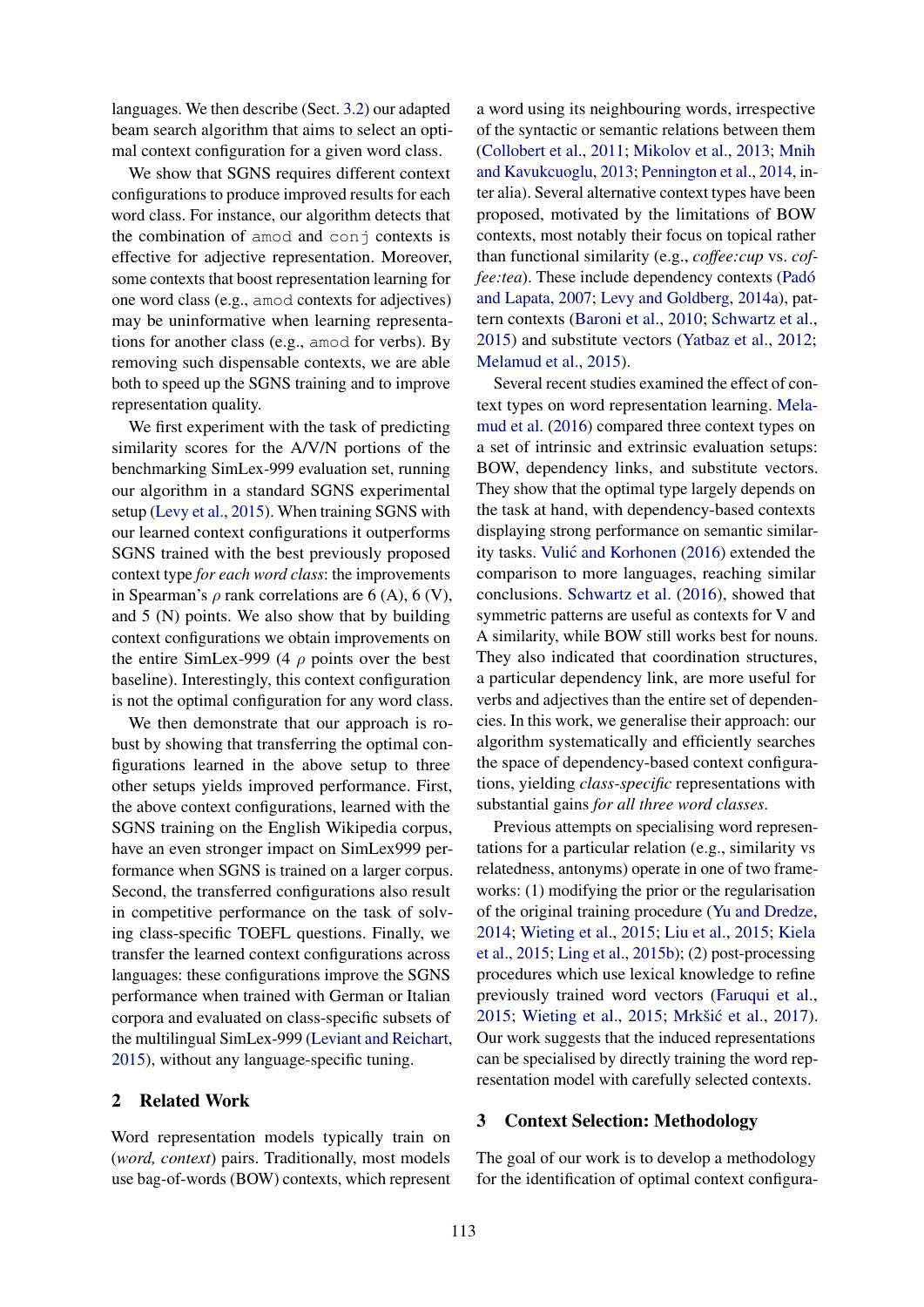languages. We then describe (Sect. 3.2) our adapted beam search algorithm that aims to select an optimal context configuration for a given word class.

We show that SGNS requires different context configurations to produce improved results for each word class. For instance, our algorithm detects that the combination of amod and conj contexts is effective for adjective representation. Moreover, some contexts that boost representation learning for one word class (e.g., amod contexts for adjectives) may be uninformative when learning representations for another class (e.g., amod for verbs). By removing such dispensable contexts, we are able both to speed up the SGNS training and to improve representation quality.

We first experiment with the task of predicting similarity scores for the A/V/N portions of the benchmarking SimLex-999 evaluation set, running our algorithm in a standard SGNS experimental setup (Levy et al., 2015). When training SGNS with our learned context configurations it outperforms SGNS trained with the best previously proposed context type *for each word class*: the improvements in Spearman's  $\rho$  rank correlations are 6 (A), 6 (V), and 5 (N) points. We also show that by building context configurations we obtain improvements on the entire SimLex-999 (4  $\rho$  points over the best baseline). Interestingly, this context configuration is not the optimal configuration for any word class.

We then demonstrate that our approach is robust by showing that transferring the optimal configurations learned in the above setup to three other setups yields improved performance. First, the above context configurations, learned with the SGNS training on the English Wikipedia corpus, have an even stronger impact on SimLex999 performance when SGNS is trained on a larger corpus. Second, the transferred configurations also result in competitive performance on the task of solving class-specific TOEFL questions. Finally, we transfer the learned context configurations across languages: these configurations improve the SGNS performance when trained with German or Italian corpora and evaluated on class-specific subsets of the multilingual SimLex-999 (Leviant and Reichart, 2015), without any language-specific tuning.

# 2 Related Work

Word representation models typically train on (*word, context*) pairs. Traditionally, most models use bag-of-words (BOW) contexts, which represent

a word using its neighbouring words, irrespective of the syntactic or semantic relations between them (Collobert et al., 2011; Mikolov et al., 2013; Mnih and Kavukcuoglu, 2013; Pennington et al., 2014, inter alia). Several alternative context types have been proposed, motivated by the limitations of BOW contexts, most notably their focus on topical rather than functional similarity (e.g., *coffee:cup* vs. *coffee:tea*). These include dependency contexts (Padó and Lapata, 2007; Levy and Goldberg, 2014a), pattern contexts (Baroni et al., 2010; Schwartz et al., 2015) and substitute vectors (Yatbaz et al., 2012; Melamud et al., 2015).

Several recent studies examined the effect of context types on word representation learning. Melamud et al. (2016) compared three context types on a set of intrinsic and extrinsic evaluation setups: BOW, dependency links, and substitute vectors. They show that the optimal type largely depends on the task at hand, with dependency-based contexts displaying strong performance on semantic similarity tasks. Vulić and Korhonen (2016) extended the comparison to more languages, reaching similar conclusions. Schwartz et al. (2016), showed that symmetric patterns are useful as contexts for V and A similarity, while BOW still works best for nouns. They also indicated that coordination structures, a particular dependency link, are more useful for verbs and adjectives than the entire set of dependencies. In this work, we generalise their approach: our algorithm systematically and efficiently searches the space of dependency-based context configurations, yielding *class-specific* representations with substantial gains *for all three word classes*.

Previous attempts on specialising word representations for a particular relation (e.g., similarity vs relatedness, antonyms) operate in one of two frameworks: (1) modifying the prior or the regularisation of the original training procedure (Yu and Dredze, 2014; Wieting et al., 2015; Liu et al., 2015; Kiela et al., 2015; Ling et al., 2015b); (2) post-processing procedures which use lexical knowledge to refine previously trained word vectors (Faruqui et al., 2015; Wieting et al., 2015; Mrkšić et al., 2017). Our work suggests that the induced representations can be specialised by directly training the word representation model with carefully selected contexts.

# 3 Context Selection: Methodology

The goal of our work is to develop a methodology for the identification of optimal context configura-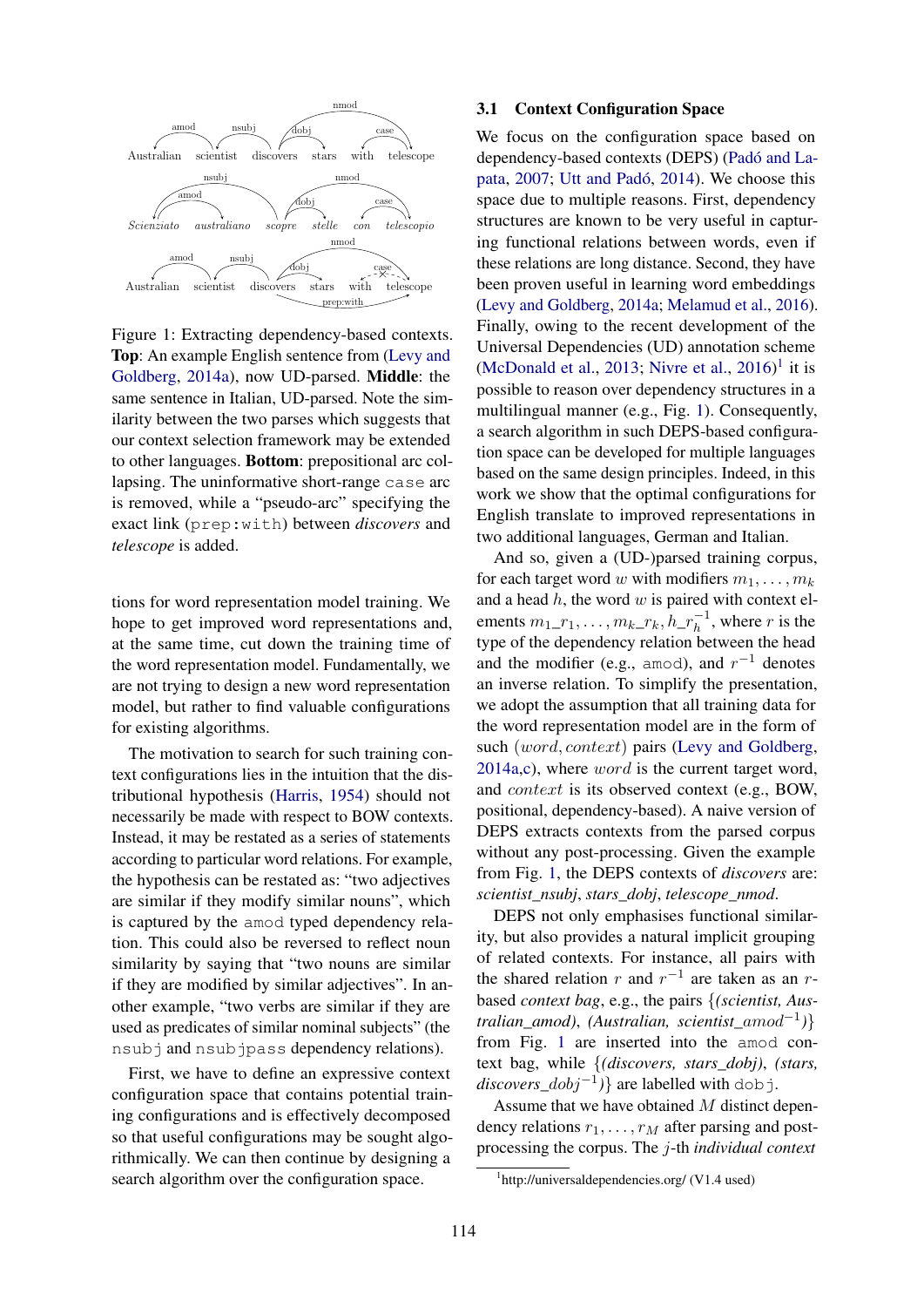

Figure 1: Extracting dependency-based contexts. Top: An example English sentence from (Levy and Goldberg, 2014a), now UD-parsed. Middle: the same sentence in Italian, UD-parsed. Note the similarity between the two parses which suggests that our context selection framework may be extended to other languages. Bottom: prepositional arc collapsing. The uninformative short-range case arc is removed, while a "pseudo-arc" specifying the exact link (prep:with) between *discovers* and *telescope* is added.

tions for word representation model training. We hope to get improved word representations and, at the same time, cut down the training time of the word representation model. Fundamentally, we are not trying to design a new word representation model, but rather to find valuable configurations for existing algorithms.

The motivation to search for such training context configurations lies in the intuition that the distributional hypothesis (Harris, 1954) should not necessarily be made with respect to BOW contexts. Instead, it may be restated as a series of statements according to particular word relations. For example, the hypothesis can be restated as: "two adjectives are similar if they modify similar nouns", which is captured by the amod typed dependency relation. This could also be reversed to reflect noun similarity by saying that "two nouns are similar if they are modified by similar adjectives". In another example, "two verbs are similar if they are used as predicates of similar nominal subjects" (the nsub j and nsubjpass dependency relations).

First, we have to define an expressive context configuration space that contains potential training configurations and is effectively decomposed so that useful configurations may be sought algorithmically. We can then continue by designing a search algorithm over the configuration space.

### 3.1 Context Configuration Space

We focus on the configuration space based on dependency-based contexts (DEPS) (Padó and Lapata, 2007; Utt and Padó, 2014). We choose this space due to multiple reasons. First, dependency structures are known to be very useful in capturing functional relations between words, even if these relations are long distance. Second, they have been proven useful in learning word embeddings (Levy and Goldberg, 2014a; Melamud et al., 2016). Finally, owing to the recent development of the Universal Dependencies (UD) annotation scheme (McDonald et al., 2013; Nivre et al.,  $2016$ <sup>1</sup> it is possible to reason over dependency structures in a multilingual manner (e.g., Fig. 1). Consequently, a search algorithm in such DEPS-based configuration space can be developed for multiple languages based on the same design principles. Indeed, in this work we show that the optimal configurations for English translate to improved representations in two additional languages, German and Italian.

And so, given a (UD-)parsed training corpus, for each target word w with modifiers  $m_1, \ldots, m_k$ and a head  $h$ , the word  $w$  is paired with context elements  $m_1$ <sub>-1</sub>, ...,  $m_k$ <sub>- $rk$ </sub>,  $h$ <sub>- $r_h^{-1}$ </sub>, where r is the type of the dependency relation between the head and the modifier (e.g., amod), and  $r^{-1}$  denotes an inverse relation. To simplify the presentation, we adopt the assumption that all training data for the word representation model are in the form of such (word, context) pairs (Levy and Goldberg, 2014a,c), where word is the current target word, and context is its observed context (e.g., BOW, positional, dependency-based). A naive version of DEPS extracts contexts from the parsed corpus without any post-processing. Given the example from Fig. 1, the DEPS contexts of *discovers* are: *scientist\_nsubj*, *stars\_dobj*, *telescope\_nmod*.

DEPS not only emphasises functional similarity, but also provides a natural implicit grouping of related contexts. For instance, all pairs with the shared relation r and  $r^{-1}$  are taken as an rbased *context bag*, e.g., the pairs {*(scientist, Australian\_amod)*, *(Australian, scientist\_*amod−<sup>1</sup> *)*} from Fig. 1 are inserted into the amod context bag, while {*(discovers, stars\_dobj)*, *(stars, discovers\_*dobj−<sup>1</sup> *)*} are labelled with dobj.

Assume that we have obtained M distinct dependency relations  $r_1, \ldots, r_M$  after parsing and postprocessing the corpus. The j-th *individual context*

<sup>1</sup> http://universaldependencies.org/ (V1.4 used)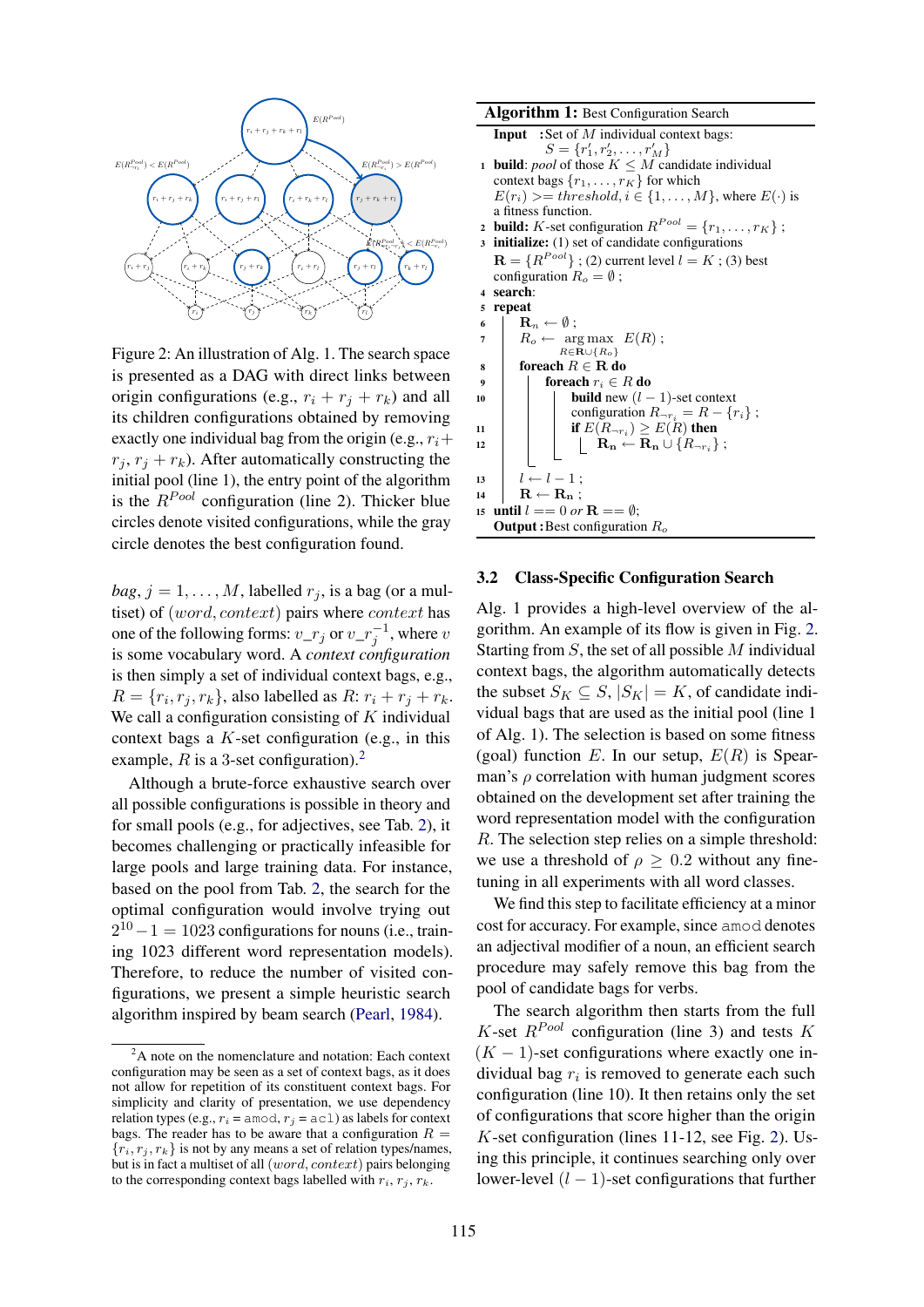

Figure 2: An illustration of Alg. 1. The search space is presented as a DAG with direct links between origin configurations (e.g.,  $r_i + r_j + r_k$ ) and all its children configurations obtained by removing exactly one individual bag from the origin (e.g.,  $r_i+$  $r_i, r_j + r_k$ ). After automatically constructing the initial pool (line 1), the entry point of the algorithm is the  $R^{Pool}$  configuration (line 2). Thicker blue circles denote visited configurations, while the gray circle denotes the best configuration found.

 $bag, j = 1, \ldots, M$ , labelled  $r_j$ , is a bag (or a multiset) of (*word*, *context*) pairs where *context* has one of the following forms:  $v_{\perp}r_j$  or  $v_{\perp}r_j^{-1}$ , where  $v$ is some vocabulary word. A *context configuration* is then simply a set of individual context bags, e.g.,  $R = \{r_i, r_j, r_k\}$ , also labelled as  $R: r_i + r_j + r_k$ . We call a configuration consisting of  $K$  individual context bags a  $K$ -set configuration (e.g., in this example, R is a 3-set configuration).<sup>2</sup>

Although a brute-force exhaustive search over all possible configurations is possible in theory and for small pools (e.g., for adjectives, see Tab. 2), it becomes challenging or practically infeasible for large pools and large training data. For instance, based on the pool from Tab. 2, the search for the optimal configuration would involve trying out  $2^{10} - 1 = 1023$  configurations for nouns (i.e., training 1023 different word representation models). Therefore, to reduce the number of visited configurations, we present a simple heuristic search algorithm inspired by beam search (Pearl, 1984).

```
Algorithm 1: Best Configuration Search
   Input :Set of M individual context bags:
               S = \{r'_1, r'_2, \ldots, r'_M\}1 build: pool of those K \leq M candidate individual
   context bags \{r_1, \ldots, r_K\} for which
    E(r_i) \geq threshold, i \in \{1, ..., M\}, where E(\cdot) is
   a fitness function.
 2 build: K-set configuration R^{Pool} = \{r_1, \ldots, r_K\};
 3 initialize: (1) set of candidate configurations
    \mathbf{R} = \{R^{Pool}\} ; (2) current level l = K ; (3) best
   configuration R_o = \emptyset;
 4 search:
 5 repeat
 6 | \mathbf{R}_n \leftarrow \emptyset;
 7 \mid R_o \leftarrow \arg \max \ E(R);R\in\mathbf{R}\cup\{R_o\}8 foreach R \in \mathbf{R} do
9 foreach r_i \in R do<br>
10 foreach r_i \in R do
                     build new (l - 1)-set context
                     configuration R_{\neg r_i} = R - \{r_i\};
11 if E(R_{\neg r_i}) \ge E(R) then
12 \vert \vert \vert \vert \vert \mathbf{R_n} \stackrel{\sim}{\leftarrow} \mathbf{R_n} \cup \{R_{\neg r_i}\};13 \mid l \leftarrow l - 1;_{14} | R \leftarrow R<sub>n</sub> ;
15 until l == 0 or \mathbf{R} == \emptyset;
   Output: Best configuration R_o
```
#### 3.2 Class-Specific Configuration Search

Alg. 1 provides a high-level overview of the algorithm. An example of its flow is given in Fig. 2. Starting from  $S$ , the set of all possible  $M$  individual context bags, the algorithm automatically detects the subset  $S_K \subseteq S$ ,  $|S_K| = K$ , of candidate individual bags that are used as the initial pool (line 1 of Alg. 1). The selection is based on some fitness (goal) function E. In our setup,  $E(R)$  is Spearman's  $\rho$  correlation with human judgment scores obtained on the development set after training the word representation model with the configuration R. The selection step relies on a simple threshold: we use a threshold of  $\rho \geq 0.2$  without any finetuning in all experiments with all word classes.

We find this step to facilitate efficiency at a minor cost for accuracy. For example, since amod denotes an adjectival modifier of a noun, an efficient search procedure may safely remove this bag from the pool of candidate bags for verbs.

The search algorithm then starts from the full K-set  $R^{Pool}$  configuration (line 3) and tests K  $(K - 1)$ -set configurations where exactly one individual bag  $r_i$  is removed to generate each such configuration (line 10). It then retains only the set of configurations that score higher than the origin K-set configuration (lines 11-12, see Fig. 2). Using this principle, it continues searching only over lower-level  $(l - 1)$ -set configurations that further

<sup>&</sup>lt;sup>2</sup>A note on the nomenclature and notation: Each context configuration may be seen as a set of context bags, as it does not allow for repetition of its constituent context bags. For simplicity and clarity of presentation, we use dependency relation types (e.g.,  $r_i$  = amod,  $r_j$  = acl) as labels for context bags. The reader has to be aware that a configuration  $R =$  ${r_i, r_i, r_k}$  is not by any means a set of relation types/names, but is in fact a multiset of all (word, context) pairs belonging to the corresponding context bags labelled with  $r_i, r_j, r_k$ .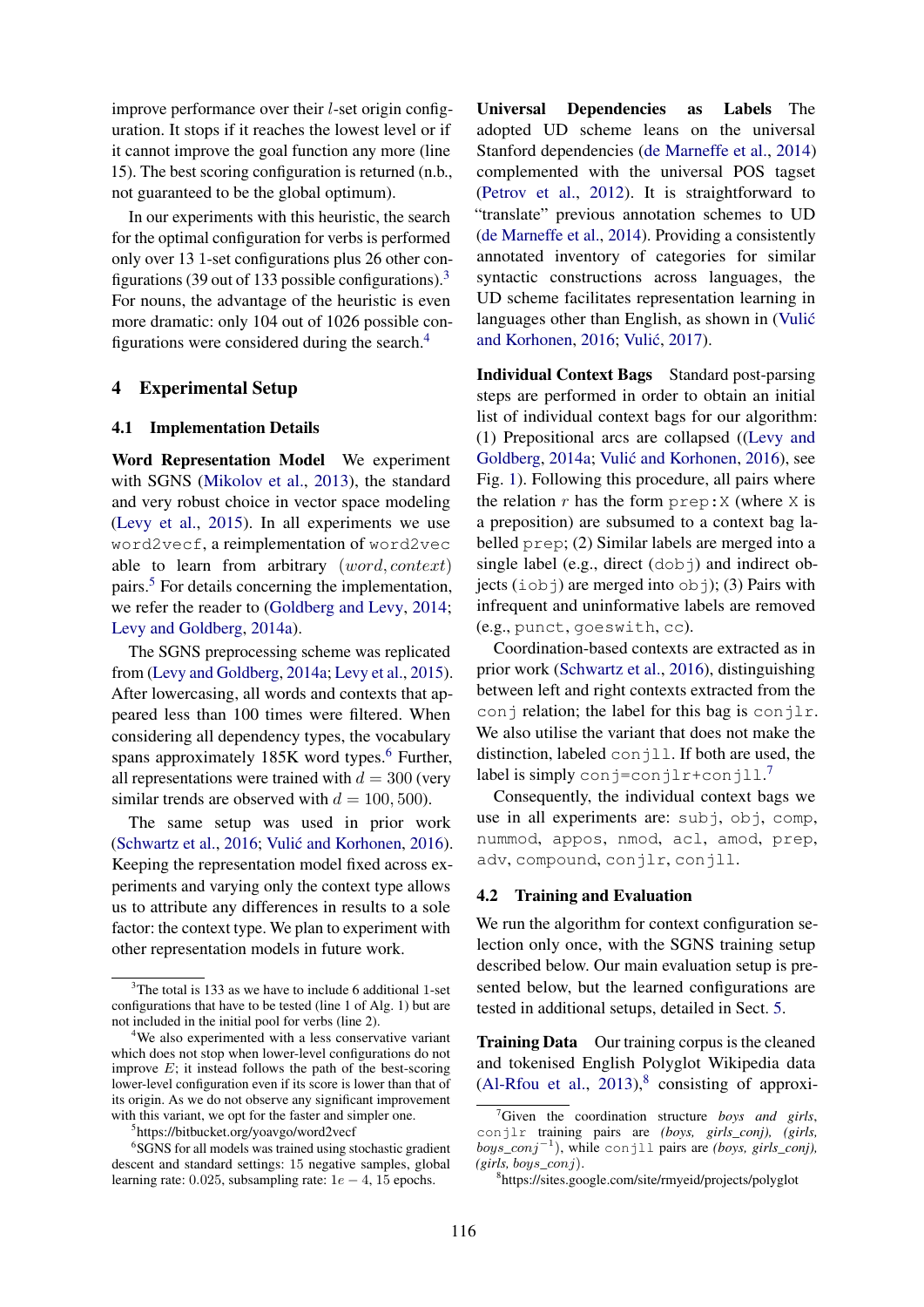improve performance over their l-set origin configuration. It stops if it reaches the lowest level or if it cannot improve the goal function any more (line 15). The best scoring configuration is returned (n.b., not guaranteed to be the global optimum).

In our experiments with this heuristic, the search for the optimal configuration for verbs is performed only over 13 1-set configurations plus 26 other configurations (39 out of 133 possible configurations).<sup>3</sup> For nouns, the advantage of the heuristic is even more dramatic: only 104 out of 1026 possible configurations were considered during the search.<sup>4</sup>

# 4 Experimental Setup

### 4.1 Implementation Details

Word Representation Model We experiment with SGNS (Mikolov et al., 2013), the standard and very robust choice in vector space modeling (Levy et al., 2015). In all experiments we use word2vecf, a reimplementation of word2vec able to learn from arbitrary (word, context) pairs.<sup>5</sup> For details concerning the implementation, we refer the reader to (Goldberg and Levy, 2014; Levy and Goldberg, 2014a).

The SGNS preprocessing scheme was replicated from (Levy and Goldberg, 2014a; Levy et al., 2015). After lowercasing, all words and contexts that appeared less than 100 times were filtered. When considering all dependency types, the vocabulary spans approximately  $185K$  word types.<sup>6</sup> Further, all representations were trained with  $d = 300$  (very similar trends are observed with  $d = 100, 500$ .

The same setup was used in prior work (Schwartz et al., 2016; Vulić and Korhonen, 2016). Keeping the representation model fixed across experiments and varying only the context type allows us to attribute any differences in results to a sole factor: the context type. We plan to experiment with other representation models in future work.

Universal Dependencies as Labels The adopted UD scheme leans on the universal Stanford dependencies (de Marneffe et al., 2014) complemented with the universal POS tagset (Petrov et al., 2012). It is straightforward to "translate" previous annotation schemes to UD (de Marneffe et al., 2014). Providing a consistently annotated inventory of categories for similar syntactic constructions across languages, the UD scheme facilitates representation learning in languages other than English, as shown in (Vulić and Korhonen, 2016; Vulić, 2017).

Individual Context Bags Standard post-parsing steps are performed in order to obtain an initial list of individual context bags for our algorithm: (1) Prepositional arcs are collapsed ((Levy and Goldberg, 2014a; Vulić and Korhonen, 2016), see Fig. 1). Following this procedure, all pairs where the relation  $r$  has the form  $prep: X$  (where  $X$  is a preposition) are subsumed to a context bag labelled prep; (2) Similar labels are merged into a single label (e.g., direct  $(d \circ b)$ ) and indirect objects (iobj) are merged into obj); (3) Pairs with infrequent and uninformative labels are removed (e.g., punct, goeswith, cc).

Coordination-based contexts are extracted as in prior work (Schwartz et al., 2016), distinguishing between left and right contexts extracted from the conj relation; the label for this bag is conjlr. We also utilise the variant that does not make the distinction, labeled conjll. If both are used, the label is simply conj=conjlr+conjll.<sup>7</sup>

Consequently, the individual context bags we use in all experiments are: subj, obj, comp, nummod, appos, nmod, acl, amod, prep, adv, compound, conjlr, conjll.

#### 4.2 Training and Evaluation

We run the algorithm for context configuration selection only once, with the SGNS training setup described below. Our main evaluation setup is presented below, but the learned configurations are tested in additional setups, detailed in Sect. 5.

Training Data Our training corpus is the cleaned and tokenised English Polyglot Wikipedia data  $(Al-Rfou et al., 2013)<sup>8</sup> consisting of approxi-$ 

 $3$ The total is 133 as we have to include 6 additional 1-set configurations that have to be tested (line 1 of Alg. 1) but are not included in the initial pool for verbs (line 2).

<sup>&</sup>lt;sup>4</sup>We also experimented with a less conservative variant which does not stop when lower-level configurations do not improve  $E$ ; it instead follows the path of the best-scoring lower-level configuration even if its score is lower than that of its origin. As we do not observe any significant improvement with this variant, we opt for the faster and simpler one.

<sup>5</sup> https://bitbucket.org/yoavgo/word2vecf

<sup>&</sup>lt;sup>6</sup>SGNS for all models was trained using stochastic gradient descent and standard settings: 15 negative samples, global learning rate: 0.025, subsampling rate:  $1e - 4$ , 15 epochs.

<sup>7</sup>Given the coordination structure *boys and girls*, conjlr training pairs are *(boys, girls\_conj), (girls,* boys*\_*conj<sup>−</sup><sup>1</sup> ), while conjll pairs are *(boys, girls\_conj), (girls,* boys*\_*conj).

<sup>8</sup> https://sites.google.com/site/rmyeid/projects/polyglot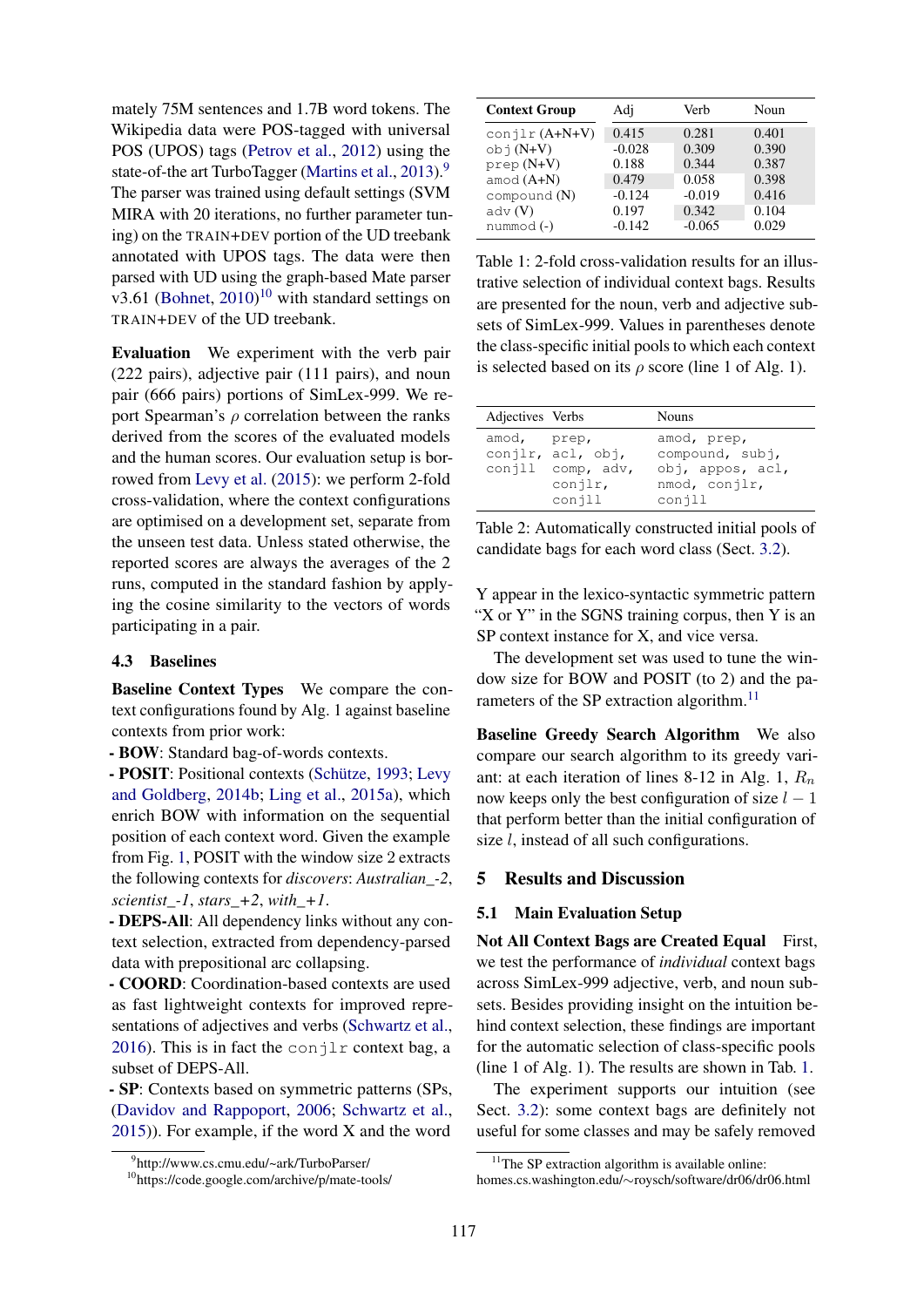mately 75M sentences and 1.7B word tokens. The Wikipedia data were POS-tagged with universal POS (UPOS) tags (Petrov et al., 2012) using the state-of-the art TurboTagger (Martins et al., 2013).<sup>9</sup> The parser was trained using default settings (SVM MIRA with 20 iterations, no further parameter tuning) on the TRAIN+DEV portion of the UD treebank annotated with UPOS tags. The data were then parsed with UD using the graph-based Mate parser v3.61 (Bohnet,  $2010$ )<sup>10</sup> with standard settings on TRAIN+DEV of the UD treebank.

Evaluation We experiment with the verb pair (222 pairs), adjective pair (111 pairs), and noun pair (666 pairs) portions of SimLex-999. We report Spearman's  $\rho$  correlation between the ranks derived from the scores of the evaluated models and the human scores. Our evaluation setup is borrowed from Levy et al. (2015): we perform 2-fold cross-validation, where the context configurations are optimised on a development set, separate from the unseen test data. Unless stated otherwise, the reported scores are always the averages of the 2 runs, computed in the standard fashion by applying the cosine similarity to the vectors of words participating in a pair.

#### 4.3 Baselines

Baseline Context Types We compare the context configurations found by Alg. 1 against baseline contexts from prior work:

- BOW: Standard bag-of-words contexts.

- POSIT: Positional contexts (Schütze, 1993; Levy and Goldberg, 2014b; Ling et al., 2015a), which enrich BOW with information on the sequential position of each context word. Given the example from Fig. 1, POSIT with the window size 2 extracts the following contexts for *discovers*: *Australian\_-2*, *scientist\_-1*, *stars\_+2*, *with\_+1*.

- DEPS-All: All dependency links without any context selection, extracted from dependency-parsed data with prepositional arc collapsing.

- COORD: Coordination-based contexts are used as fast lightweight contexts for improved representations of adjectives and verbs (Schwartz et al., 2016). This is in fact the conjlr context bag, a subset of DEPS-All.

- SP: Contexts based on symmetric patterns (SPs, (Davidov and Rappoport, 2006; Schwartz et al., 2015)). For example, if the word X and the word

| Adj      | Verb     | Noun  |
|----------|----------|-------|
| 0.415    | 0.281    | 0.401 |
| $-0.028$ | 0.309    | 0.390 |
| 0.188    | 0.344    | 0.387 |
| 0.479    | 0.058    | 0.398 |
| $-0.124$ | $-0.019$ | 0.416 |
| 0.197    | 0.342    | 0.104 |
| $-0.142$ | $-0.065$ | 0.029 |
|          |          |       |

Table 1: 2-fold cross-validation results for an illustrative selection of individual context bags. Results are presented for the noun, verb and adjective subsets of SimLex-999. Values in parentheses denote the class-specific initial pools to which each context is selected based on its  $\rho$  score (line 1 of Alg. 1).

| Adjectives Verbs |                                                                      | <b>Nouns</b>                                                                  |
|------------------|----------------------------------------------------------------------|-------------------------------------------------------------------------------|
| amod, prep,      | conjlr, acl, obj,<br>$\text{conjll}$ comp, adv,<br>conjlr,<br>conjll | amod, prep,<br>compound, subj,<br>obj, appos, acl,<br>nmod, conjlr,<br>conjll |

Table 2: Automatically constructed initial pools of candidate bags for each word class (Sect. 3.2).

Y appear in the lexico-syntactic symmetric pattern "X or Y" in the SGNS training corpus, then Y is an SP context instance for X, and vice versa.

The development set was used to tune the window size for BOW and POSIT (to 2) and the parameters of the SP extraction algorithm.<sup>11</sup>

Baseline Greedy Search Algorithm We also compare our search algorithm to its greedy variant: at each iteration of lines 8-12 in Alg. 1,  $R_n$ now keeps only the best configuration of size  $l - 1$ that perform better than the initial configuration of size *l*, instead of all such configurations.

# 5 Results and Discussion

#### 5.1 Main Evaluation Setup

Not All Context Bags are Created Equal First, we test the performance of *individual* context bags across SimLex-999 adjective, verb, and noun subsets. Besides providing insight on the intuition behind context selection, these findings are important for the automatic selection of class-specific pools (line 1 of Alg. 1). The results are shown in Tab. 1.

The experiment supports our intuition (see Sect. 3.2): some context bags are definitely not useful for some classes and may be safely removed

<sup>9</sup> http://www.cs.cmu.edu/~ark/TurboParser/

<sup>10</sup>https://code.google.com/archive/p/mate-tools/

 $11$ The SP extraction algorithm is available online:

homes.cs.washington.edu/∼roysch/software/dr06/dr06.html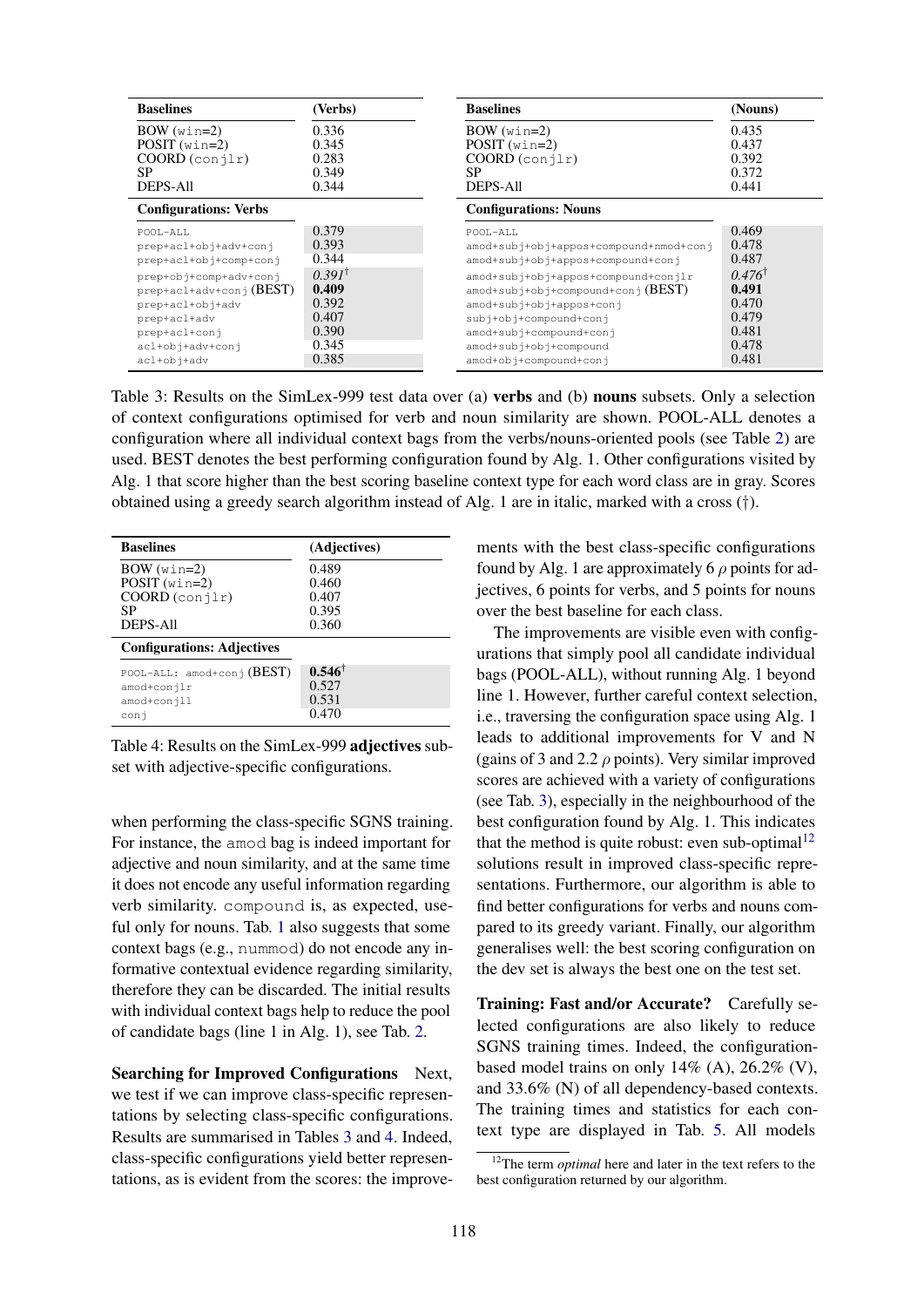| <b>Baselines</b>             | (Verbs)           | <b>Baselines</b>                       | (Nouns)           |
|------------------------------|-------------------|----------------------------------------|-------------------|
| $BOW(win=2)$                 | 0.336             | $BOW(win=2)$                           | 0.435             |
| $POST(win=2)$                | 0.345             | $POST(win=2)$                          | 0.437             |
| $COORD$ (conjlr)             | 0.283             | $COORD$ (conjlr)                       | 0.392             |
| SP                           | 0.349             | SP.                                    | 0.372             |
| <b>DEPS-All</b>              | 0.344             | DEPS-All                               | 0.441             |
| <b>Configurations: Verbs</b> |                   | <b>Configurations: Nouns</b>           |                   |
| POOL-ALL                     | 0.379             | POOL-ALL                               | 0.469             |
| prep+acl+obj+adv+conj        | 0.393             | amod+subj+obj+appos+compound+nmod+conj | 0.478             |
| prep+acl+obj+comp+conj       | 0.344             | amod+subj+obj+appos+compound+conj      | 0.487             |
| prep+obj+comp+adv+conj       | $0.391^{\dagger}$ | amod+subj+obj+appos+compound+conjlr    | $0.476^{\dagger}$ |
| $preptact+adv+conj(BEST)$    | 0.409             | $amod+subj+obj+compound+conj(BEST)$    | 0.491             |
| prep+acl+obj+adv             | 0.392             | amod+subj+obj+appos+conj               | 0.470             |
| prep+acl+adv                 | 0.407             | subj+obj+compound+conj                 | 0.479             |
| prep+acl+conj                | 0.390             | amod+subj+compound+conj                | 0.481             |
| acl+obj+adv+conj             | 0.345             | amod+subj+obj+compound                 | 0.478             |
| acl+obj+adv                  | 0.385             | amod+obj+compound+conj                 | 0.481             |

Table 3: Results on the SimLex-999 test data over (a) verbs and (b) nouns subsets. Only a selection of context configurations optimised for verb and noun similarity are shown. POOL-ALL denotes a configuration where all individual context bags from the verbs/nouns-oriented pools (see Table 2) are used. BEST denotes the best performing configuration found by Alg. 1. Other configurations visited by Alg. 1 that score higher than the best scoring baseline context type for each word class are in gray. Scores obtained using a greedy search algorithm instead of Alg. 1 are in italic, marked with a cross (†).

| <b>Baselines</b>                  | (Adjectives)      |
|-----------------------------------|-------------------|
| $BOW(win=2)$                      | 0.489             |
| $POST(win=2)$                     | 0.460             |
| COORD (conjlr)                    | 0.407             |
| SP                                | 0.395             |
| <b>DEPS-All</b>                   | 0.360             |
| <b>Configurations: Adjectives</b> |                   |
| $POOL-ALL:$ amod+conj $(BEST)$    | $0.546^{\dagger}$ |
| amod+conjlr                       | 0.527             |
| amod+conjll                       | 0.531             |
| conj                              | 0.470             |

Table 4: Results on the SimLex-999 adjectives subset with adjective-specific configurations.

when performing the class-specific SGNS training. For instance, the amod bag is indeed important for adjective and noun similarity, and at the same time it does not encode any useful information regarding verb similarity. compound is, as expected, useful only for nouns. Tab. 1 also suggests that some context bags (e.g., nummod) do not encode any informative contextual evidence regarding similarity, therefore they can be discarded. The initial results with individual context bags help to reduce the pool of candidate bags (line 1 in Alg. 1), see Tab. 2.

Searching for Improved Configurations Next, we test if we can improve class-specific representations by selecting class-specific configurations. Results are summarised in Tables 3 and 4. Indeed, class-specific configurations yield better representations, as is evident from the scores: the improve-

ments with the best class-specific configurations found by Alg. 1 are approximately 6  $\rho$  points for adjectives, 6 points for verbs, and 5 points for nouns over the best baseline for each class.

The improvements are visible even with configurations that simply pool all candidate individual bags (POOL-ALL), without running Alg. 1 beyond line 1. However, further careful context selection, i.e., traversing the configuration space using Alg. 1 leads to additional improvements for V and N (gains of 3 and 2.2  $\rho$  points). Very similar improved scores are achieved with a variety of configurations (see Tab. 3), especially in the neighbourhood of the best configuration found by Alg. 1. This indicates that the method is quite robust: even sub-optimal<sup>12</sup> solutions result in improved class-specific representations. Furthermore, our algorithm is able to find better configurations for verbs and nouns compared to its greedy variant. Finally, our algorithm generalises well: the best scoring configuration on the dev set is always the best one on the test set.

Training: Fast and/or Accurate? Carefully selected configurations are also likely to reduce SGNS training times. Indeed, the configurationbased model trains on only  $14\%$  (A),  $26.2\%$  (V), and 33.6% (N) of all dependency-based contexts. The training times and statistics for each context type are displayed in Tab. 5. All models

<sup>&</sup>lt;sup>12</sup>The term *optimal* here and later in the text refers to the best configuration returned by our algorithm.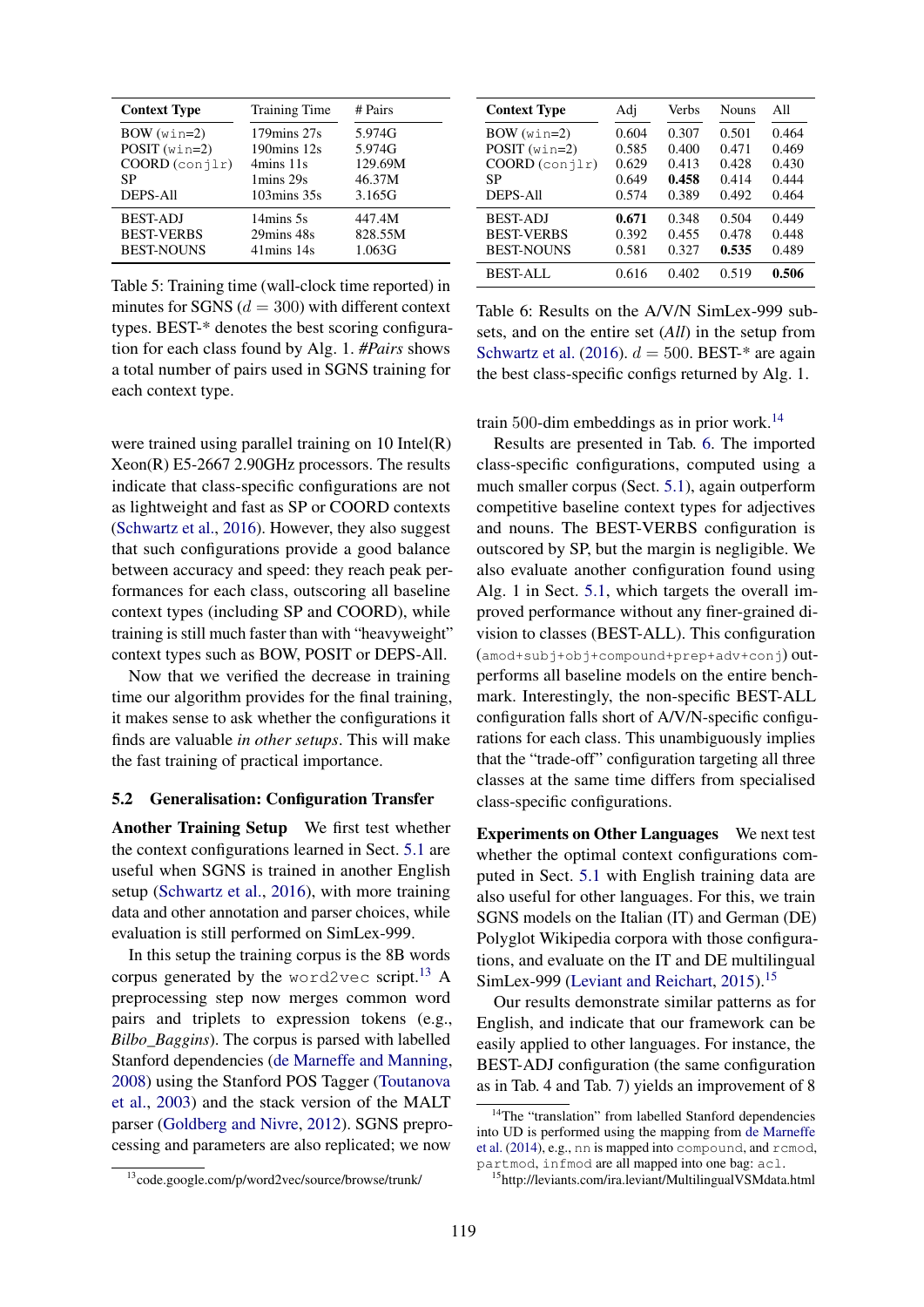| <b>Context Type</b> | <b>Training Time</b>           | # Pairs |
|---------------------|--------------------------------|---------|
| $BOW(win=2)$        | $179 \text{mins } 27 \text{s}$ | 5.974G  |
| $POST(win=2)$       | $190 \text{mins} 12 \text{s}$  | 5.974G  |
| COORD (conjlr)      | $4 \text{mins} 11 \text{s}$    | 129.69M |
| SP                  | 1 mins 29s                     | 46.37M  |
| <b>DEPS-All</b>     | $103 \text{mins } 35 \text{s}$ | 3.165G  |
| <b>BEST-ADJ</b>     | 14mins 5s                      | 447.4M  |
| <b>BEST-VERBS</b>   | 29mins 48s                     | 828.55M |
| <b>BEST-NOUNS</b>   | $41 \text{mins} 14 \text{s}$   | 1.063G  |

Table 5: Training time (wall-clock time reported) in minutes for SGNS  $(d = 300)$  with different context types. BEST-\* denotes the best scoring configuration for each class found by Alg. 1. *#Pairs* shows a total number of pairs used in SGNS training for each context type.

were trained using parallel training on 10 Intel(R) Xeon(R) E5-2667 2.90GHz processors. The results indicate that class-specific configurations are not as lightweight and fast as SP or COORD contexts (Schwartz et al., 2016). However, they also suggest that such configurations provide a good balance between accuracy and speed: they reach peak performances for each class, outscoring all baseline context types (including SP and COORD), while training is still much faster than with "heavyweight" context types such as BOW, POSIT or DEPS-All.

Now that we verified the decrease in training time our algorithm provides for the final training, it makes sense to ask whether the configurations it finds are valuable *in other setups*. This will make the fast training of practical importance.

### 5.2 Generalisation: Configuration Transfer

Another Training Setup We first test whether the context configurations learned in Sect. 5.1 are useful when SGNS is trained in another English setup (Schwartz et al., 2016), with more training data and other annotation and parser choices, while evaluation is still performed on SimLex-999.

In this setup the training corpus is the 8B words corpus generated by the word2vec script.<sup>13</sup> A preprocessing step now merges common word pairs and triplets to expression tokens (e.g., *Bilbo\_Baggins*). The corpus is parsed with labelled Stanford dependencies (de Marneffe and Manning, 2008) using the Stanford POS Tagger (Toutanova et al., 2003) and the stack version of the MALT parser (Goldberg and Nivre, 2012). SGNS preprocessing and parameters are also replicated; we now

| <sup>13</sup> code.google.com/p/word2vec/source/browse/trunk/ |  |  |  |
|---------------------------------------------------------------|--|--|--|
|                                                               |  |  |  |

| <b>Context Type</b> | Adj   | Verbs | <b>Nouns</b> | All   |
|---------------------|-------|-------|--------------|-------|
| $BOW(win=2)$        | 0.604 | 0.307 | 0.501        | 0.464 |
| $POST(win=2)$       | 0.585 | 0.400 | 0.471        | 0.469 |
| $COORD$ (conjlr)    | 0.629 | 0.413 | 0.428        | 0.430 |
| SP                  | 0.649 | 0.458 | 0.414        | 0.444 |
| <b>DEPS-All</b>     | 0.574 | 0.389 | 0.492        | 0.464 |
| <b>BEST-ADJ</b>     | 0.671 | 0.348 | 0.504        | 0.449 |
| <b>BEST-VERBS</b>   | 0.392 | 0.455 | 0.478        | 0.448 |
| <b>BEST-NOUNS</b>   | 0.581 | 0.327 | 0.535        | 0.489 |
| <b>BEST-ALL</b>     | 0.616 | 0.402 | 0.519        | 0.506 |

Table 6: Results on the A/V/N SimLex-999 subsets, and on the entire set (*All*) in the setup from Schwartz et al. (2016).  $d = 500$ . BEST-\* are again the best class-specific configs returned by Alg. 1.

train 500-dim embeddings as in prior work.<sup>14</sup>

Results are presented in Tab. 6. The imported class-specific configurations, computed using a much smaller corpus (Sect. 5.1), again outperform competitive baseline context types for adjectives and nouns. The BEST-VERBS configuration is outscored by SP, but the margin is negligible. We also evaluate another configuration found using Alg. 1 in Sect. 5.1, which targets the overall improved performance without any finer-grained division to classes (BEST-ALL). This configuration (amod+subj+obj+compound+prep+adv+conj) outperforms all baseline models on the entire benchmark. Interestingly, the non-specific BEST-ALL configuration falls short of A/V/N-specific configurations for each class. This unambiguously implies that the "trade-off" configuration targeting all three classes at the same time differs from specialised class-specific configurations.

Experiments on Other Languages We next test whether the optimal context configurations computed in Sect. 5.1 with English training data are also useful for other languages. For this, we train SGNS models on the Italian (IT) and German (DE) Polyglot Wikipedia corpora with those configurations, and evaluate on the IT and DE multilingual SimLex-999 (Leviant and Reichart, 2015).<sup>15</sup>

Our results demonstrate similar patterns as for English, and indicate that our framework can be easily applied to other languages. For instance, the BEST-ADJ configuration (the same configuration as in Tab. 4 and Tab. 7) yields an improvement of 8

<sup>&</sup>lt;sup>14</sup>The "translation" from labelled Stanford dependencies into UD is performed using the mapping from de Marneffe et al. (2014), e.g., nn is mapped into compound, and rcmod, partmod, infmod are all mapped into one bag: acl.

<sup>15</sup>http://leviants.com/ira.leviant/MultilingualVSMdata.html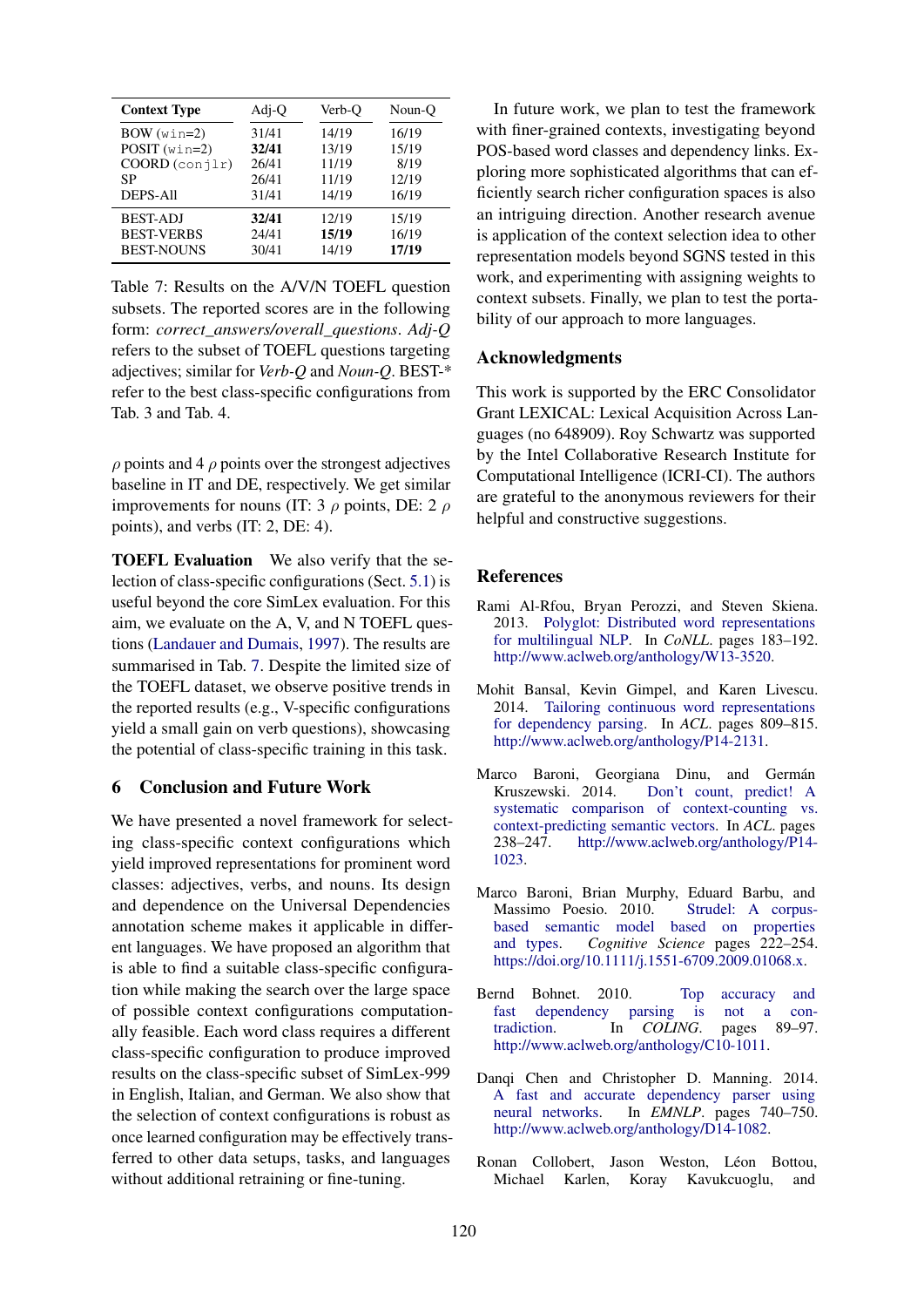| <b>Context Type</b> | Adj-Q | Verb-O | Noun-O |
|---------------------|-------|--------|--------|
| $BOW(win=2)$        | 31/41 | 14/19  | 16/19  |
| $POST(win=2)$       | 32/41 | 13/19  | 15/19  |
| $COORD$ (conjlr)    | 26/41 | 11/19  | 8/19   |
| SP                  | 26/41 | 11/19  | 12/19  |
| <b>DEPS-All</b>     | 31/41 | 14/19  | 16/19  |
| <b>BEST-ADJ</b>     | 32/41 | 12/19  | 15/19  |
| <b>BEST-VERBS</b>   | 24/41 | 15/19  | 16/19  |
| <b>BEST-NOUNS</b>   | 30/41 | 14/19  | 17/19  |

Table 7: Results on the A/V/N TOEFL question subsets. The reported scores are in the following form: *correct\_answers/overall\_questions*. *Adj-Q* refers to the subset of TOEFL questions targeting adjectives; similar for *Verb-Q* and *Noun-Q*. BEST-\* refer to the best class-specific configurations from Tab. 3 and Tab. 4.

 $\rho$  points and 4  $\rho$  points over the strongest adjectives baseline in IT and DE, respectively. We get similar improvements for nouns (IT: 3  $\rho$  points, DE: 2  $\rho$ ) points), and verbs (IT: 2, DE: 4).

TOEFL Evaluation We also verify that the selection of class-specific configurations (Sect. 5.1) is useful beyond the core SimLex evaluation. For this aim, we evaluate on the A, V, and N TOEFL questions (Landauer and Dumais, 1997). The results are summarised in Tab. 7. Despite the limited size of the TOEFL dataset, we observe positive trends in the reported results (e.g., V-specific configurations yield a small gain on verb questions), showcasing the potential of class-specific training in this task.

# 6 Conclusion and Future Work

We have presented a novel framework for selecting class-specific context configurations which yield improved representations for prominent word classes: adjectives, verbs, and nouns. Its design and dependence on the Universal Dependencies annotation scheme makes it applicable in different languages. We have proposed an algorithm that is able to find a suitable class-specific configuration while making the search over the large space of possible context configurations computationally feasible. Each word class requires a different class-specific configuration to produce improved results on the class-specific subset of SimLex-999 in English, Italian, and German. We also show that the selection of context configurations is robust as once learned configuration may be effectively transferred to other data setups, tasks, and languages without additional retraining or fine-tuning.

In future work, we plan to test the framework with finer-grained contexts, investigating beyond POS-based word classes and dependency links. Exploring more sophisticated algorithms that can efficiently search richer configuration spaces is also an intriguing direction. Another research avenue is application of the context selection idea to other representation models beyond SGNS tested in this work, and experimenting with assigning weights to context subsets. Finally, we plan to test the portability of our approach to more languages.

# Acknowledgments

This work is supported by the ERC Consolidator Grant LEXICAL: Lexical Acquisition Across Languages (no 648909). Roy Schwartz was supported by the Intel Collaborative Research Institute for Computational Intelligence (ICRI-CI). The authors are grateful to the anonymous reviewers for their helpful and constructive suggestions.

# **References**

- Rami Al-Rfou, Bryan Perozzi, and Steven Skiena. 2013. Polyglot: Distributed word representations for multilingual NLP. In *CoNLL*. pages 183–192. http://www.aclweb.org/anthology/W13-3520.
- Mohit Bansal, Kevin Gimpel, and Karen Livescu. 2014. Tailoring continuous word representations for dependency parsing. In *ACL*. pages 809–815. http://www.aclweb.org/anthology/P14-2131.
- Marco Baroni, Georgiana Dinu, and Germán Don't count, predict! A systematic comparison of context-counting vs. context-predicting semantic vectors. In *ACL*. pages 238–247. http://www.aclweb.org/anthology/P14- 1023.
- Marco Baroni, Brian Murphy, Eduard Barbu, and Massimo Poesio. 2010. Strudel: A corpusbased semantic model based on properties and types. *Cognitive Science* pages 222–254. https://doi.org/10.1111/j.1551-6709.2009.01068.x.
- Bernd Bohnet. 2010. Top accuracy and<br>fast dependency parsing is not a confast dependency parsing is not a contradiction. In *COLING*. pages 89–97. http://www.aclweb.org/anthology/C10-1011.
- Danqi Chen and Christopher D. Manning. 2014. A fast and accurate dependency parser using neural networks. In *EMNLP*. pages 740–750. http://www.aclweb.org/anthology/D14-1082.
- Ronan Collobert, Jason Weston, Léon Bottou, Michael Karlen, Koray Kavukcuoglu, and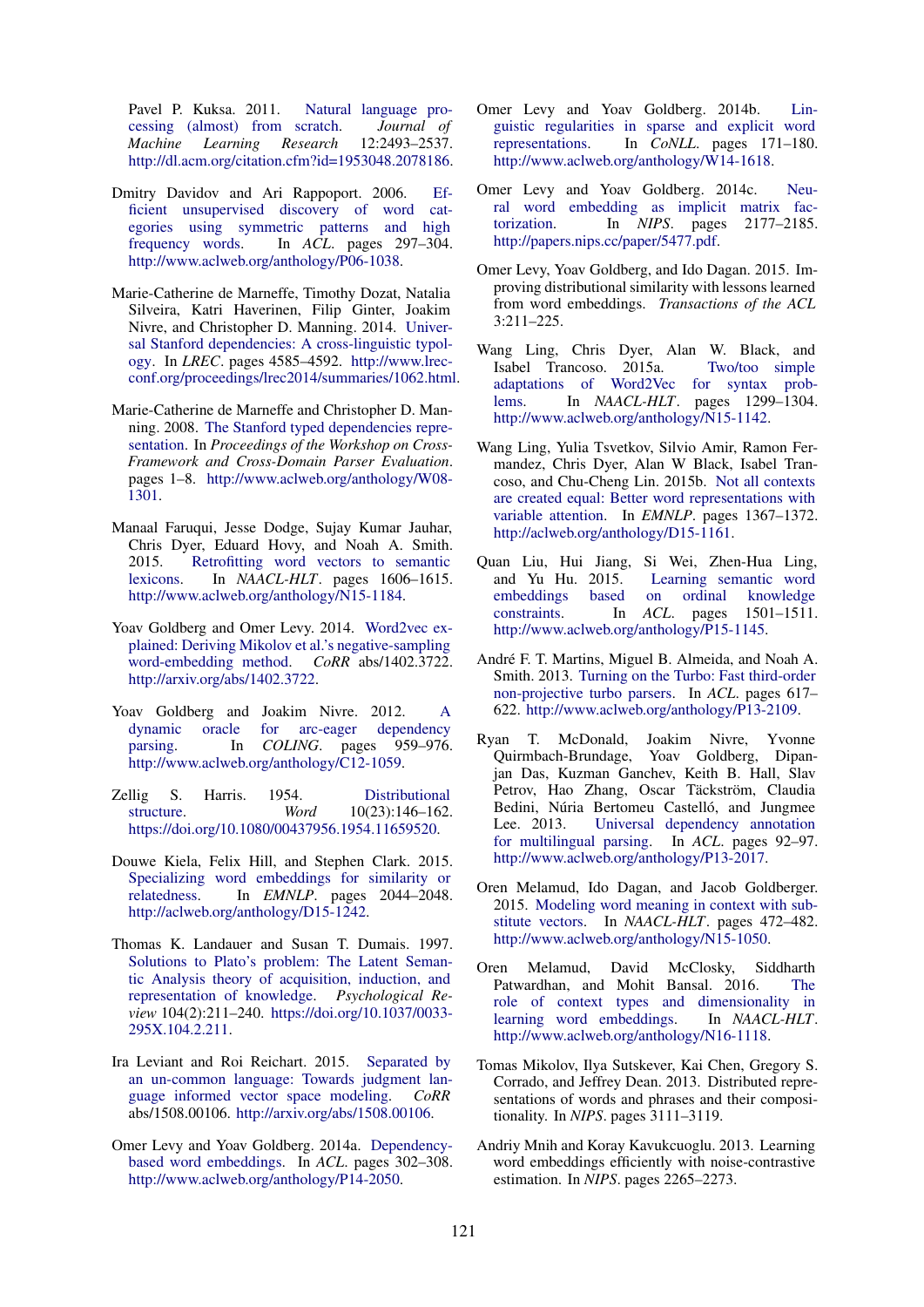Pavel P. Kuksa. 2011. Natural language processing (almost) from scratch. *Journal of Machine Learning Research* 12:2493–2537. http://dl.acm.org/citation.cfm?id=1953048.2078186.

- Dmitry Davidov and Ari Rappoport. 2006. Efficient unsupervised discovery of word categories using symmetric patterns and high frequency words. In *ACL*. pages 297–304. http://www.aclweb.org/anthology/P06-1038.
- Marie-Catherine de Marneffe, Timothy Dozat, Natalia Silveira, Katri Haverinen, Filip Ginter, Joakim Nivre, and Christopher D. Manning. 2014. Universal Stanford dependencies: A cross-linguistic typology. In *LREC*. pages 4585–4592. http://www.lrecconf.org/proceedings/lrec2014/summaries/1062.html.
- Marie-Catherine de Marneffe and Christopher D. Manning. 2008. The Stanford typed dependencies representation. In *Proceedings of the Workshop on Cross-Framework and Cross-Domain Parser Evaluation*. pages 1–8. http://www.aclweb.org/anthology/W08- 1301.
- Manaal Faruqui, Jesse Dodge, Sujay Kumar Jauhar, Chris Dyer, Eduard Hovy, and Noah A. Smith. 2015. Retrofitting word vectors to semantic lexicons. In *NAACL-HLT*. pages 1606–1615. http://www.aclweb.org/anthology/N15-1184.
- Yoav Goldberg and Omer Levy. 2014. Word2vec explained: Deriving Mikolov et al.'s negative-sampling word-embedding method. *CoRR* abs/1402.3722. http://arxiv.org/abs/1402.3722.
- Yoav Goldberg and Joakim Nivre. 2012. A dynamic oracle for arc-eager dependency parsing. In *COLING*. pages 959-976. http://www.aclweb.org/anthology/C12-1059.
- Zellig S. Harris. 1954. Distributional structure. *Word* 10(23):146–162. https://doi.org/10.1080/00437956.1954.11659520.
- Douwe Kiela, Felix Hill, and Stephen Clark. 2015. Specializing word embeddings for similarity or relatedness. In *EMNLP*. pages 2044–2048. http://aclweb.org/anthology/D15-1242.
- Thomas K. Landauer and Susan T. Dumais. 1997. Solutions to Plato's problem: The Latent Semantic Analysis theory of acquisition, induction, and representation of knowledge. *Psychological Review* 104(2):211–240. https://doi.org/10.1037/0033- 295X.104.2.211.
- Ira Leviant and Roi Reichart. 2015. Separated by an un-common language: Towards judgment language informed vector space modeling. *CoRR* abs/1508.00106. http://arxiv.org/abs/1508.00106.
- Omer Levy and Yoav Goldberg. 2014a. Dependencybased word embeddings. In *ACL*. pages 302–308. http://www.aclweb.org/anthology/P14-2050.
- Omer Levy and Yoav Goldberg. 2014b. Linguistic regularities in sparse and explicit word representations. In *CoNLL*. pages 171–180. http://www.aclweb.org/anthology/W14-1618.
- Omer Levy and Yoav Goldberg. 2014c. Neural word embedding as implicit matrix factorization. In *NIPS*. pages 2177–2185. http://papers.nips.cc/paper/5477.pdf.
- Omer Levy, Yoav Goldberg, and Ido Dagan. 2015. Improving distributional similarity with lessons learned from word embeddings. *Transactions of the ACL* 3:211–225.
- Wang Ling, Chris Dyer, Alan W. Black, and Isabel Trancoso. 2015a. Two/too simple adaptations of Word2Vec for syntax problems. In *NAACL-HLT*. pages 1299–1304. http://www.aclweb.org/anthology/N15-1142.
- Wang Ling, Yulia Tsvetkov, Silvio Amir, Ramon Fermandez, Chris Dyer, Alan W Black, Isabel Trancoso, and Chu-Cheng Lin. 2015b. Not all contexts are created equal: Better word representations with variable attention. In *EMNLP*. pages 1367–1372. http://aclweb.org/anthology/D15-1161.
- Quan Liu, Hui Jiang, Si Wei, Zhen-Hua Ling, and Yu Hu. 2015. Learning semantic word embeddings based on ordinal knowledge constraints. In *ACL*. pages 1501–1511. http://www.aclweb.org/anthology/P15-1145.
- André F. T. Martins, Miguel B. Almeida, and Noah A. Smith. 2013. Turning on the Turbo: Fast third-order non-projective turbo parsers. In *ACL*. pages 617– 622. http://www.aclweb.org/anthology/P13-2109.
- Ryan T. McDonald, Joakim Nivre, Yvonne Quirmbach-Brundage, Yoav Goldberg, Dipanjan Das, Kuzman Ganchev, Keith B. Hall, Slav Petrov, Hao Zhang, Oscar Täckström, Claudia Bedini, Núria Bertomeu Castelló, and Jungmee Lee. 2013. Universal dependency annotation for multilingual parsing. In *ACL*. pages 92–97. http://www.aclweb.org/anthology/P13-2017.
- Oren Melamud, Ido Dagan, and Jacob Goldberger. 2015. Modeling word meaning in context with substitute vectors. In *NAACL-HLT*. pages 472–482. http://www.aclweb.org/anthology/N15-1050.
- Oren Melamud, David McClosky, Siddharth Patwardhan, and Mohit Bansal. 2016. The role of context types and dimensionality in learning word embeddings. In *NAACL-HLT*. http://www.aclweb.org/anthology/N16-1118.
- Tomas Mikolov, Ilya Sutskever, Kai Chen, Gregory S. Corrado, and Jeffrey Dean. 2013. Distributed representations of words and phrases and their compositionality. In *NIPS*. pages 3111–3119.
- Andriy Mnih and Koray Kavukcuoglu. 2013. Learning word embeddings efficiently with noise-contrastive estimation. In *NIPS*. pages 2265–2273.